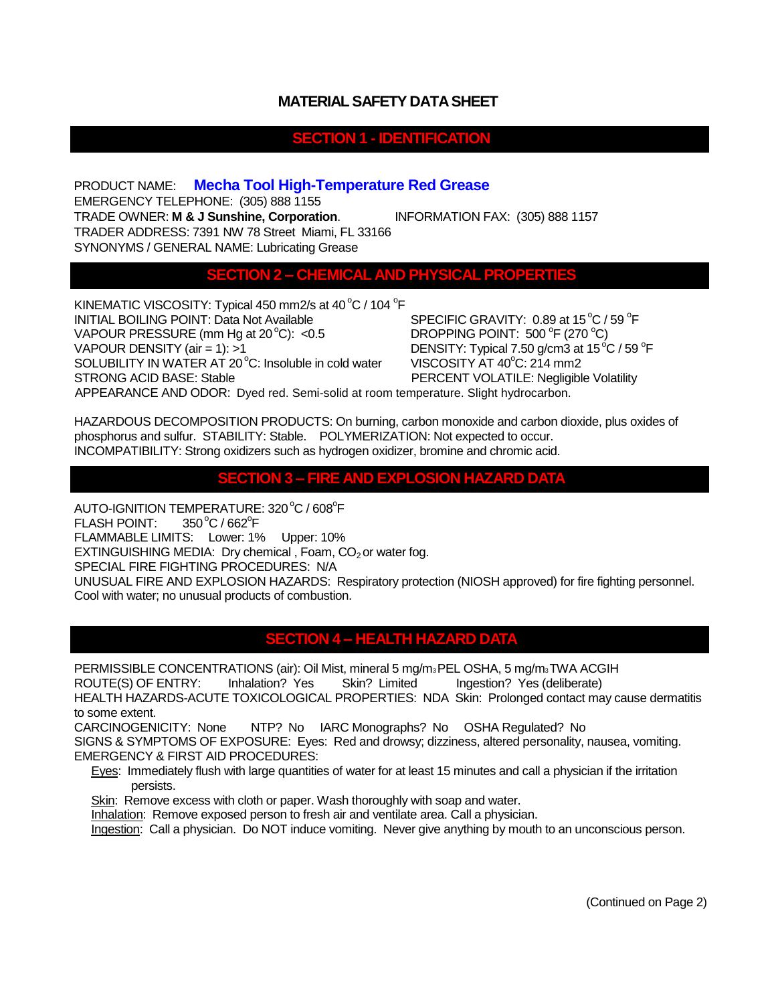## **MATERIAL SAFETY DATA SHEET**

### **SECTION 1 - IDENTIFICATION**

PRODUCT NAME: **Mecha Tool High-Temperature Red Grease**  EMERGENCY TELEPHONE: (305) 888 1155 TRADE OWNER: **M & J Sunshine, Corporation**. INFORMATION FAX: (305) 888 1157 TRADER ADDRESS: 7391 NW 78 Street Miami, FL 33166 SYNONYMS / GENERAL NAME: Lubricating Grease

#### **CHEMICAL AND PHYSICAL PROPE**

KINEMATIC VISCOSITY: Typical 450 mm2/s at 40 $^{\circ}$ C / 104  $^{\circ}$ F INITIAL BOILING POINT: Data Not Available VAPOUR PRESSURE (mm Hg at  $20^{\circ}$ C): <0.5 VAPOUR DENSITY (air = 1): >1  $\overline{ }$  DENSITY: Typical 7.50 g/cm3 at 15<sup>o</sup>C / 59 <sup>o</sup>F SOLUBILITY IN WATER AT 20 °C: Insoluble in cold water VISCOSITY AT 40 °C: 214 mm2 STRONG ACID BASE: Stable **PERCENT VOLATILE: Negligible Volatility** 

SPECIFIC GRAVITY: 0.89 at 15°C / 59 °F DROPPING POINT: 500 °F (270 °C)

APPEARANCE AND ODOR: Dyed red. Semi-solid at room temperature. Slight hydrocarbon.

HAZARDOUS DECOMPOSITION PRODUCTS: On burning, carbon monoxide and carbon dioxide, plus oxides of phosphorus and sulfur. STABILITY: Stable. POLYMERIZATION: Not expected to occur. INCOMPATIBILITY: Strong oxidizers such as hydrogen oxidizer, bromine and chromic acid.

#### **SECTION 3 – FIRE AND EXPLOSION HAZARD DATA**

AUTO-IGNITION TEMPERATURE: 320 °C / 608 °F FLASH POINT:  $\mathrm{^oF}$ FLAMMABLE LIMITS: Lower: 1% Upper: 10% EXTINGUISHING MEDIA: Dry chemical, Foam,  $CO<sub>2</sub>$  or water fog. SPECIAL FIRE FIGHTING PROCEDURES: N/A UNUSUAL FIRE AND EXPLOSION HAZARDS: Respiratory protection (NIOSH approved) for fire fighting personnel. Cool with water; no unusual products of combustion.

## **SECTION 4 – HEALTH HAZARD DATA**

PERMISSIBLE CONCENTRATIONS (air): Oil Mist, mineral 5 mg/m3PEL OSHA, 5 mg/m3TWA ACGIH ROUTE(S) OF ENTRY: Inhalation? Yes Skin? Limited Ingestion? Yes (deliberate) HEALTH HAZARDS-ACUTE TOXICOLOGICAL PROPERTIES: NDA Skin: Prolonged contact may cause dermatitis to some extent.

CARCINOGENICITY: None NTP? No IARC Monographs? No OSHA Regulated? No SIGNS & SYMPTOMS OF EXPOSURE: Eyes: Red and drowsy; dizziness, altered personality, nausea, vomiting. EMERGENCY & FIRST AID PROCEDURES:

Eyes: Immediately flush with large quantities of water for at least 15 minutes and call a physician if the irritation persists.

Skin: Remove excess with cloth or paper. Wash thoroughly with soap and water.

Inhalation: Remove exposed person to fresh air and ventilate area. Call a physician.

Ingestion: Call a physician. Do NOT induce vomiting. Never give anything by mouth to an unconscious person.